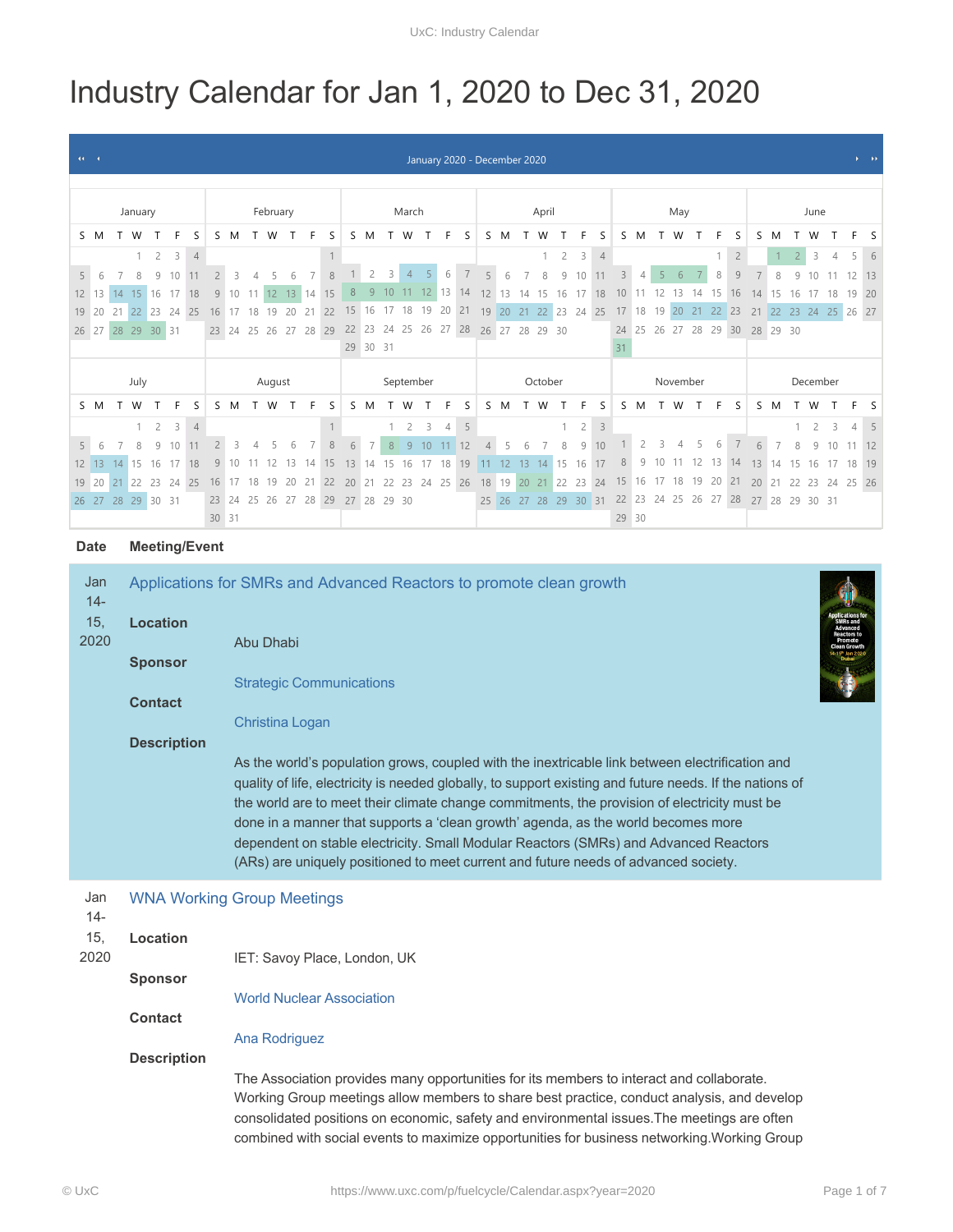# Industry Calendar for Jan 1, 2020 to Dec 31, 2020

| $44 - 4$          |             |    |                   |                |              |                      |                |                     |                |          |    |                |                                  |         |                      |                |                |                |                | January 2020 - December 2020 |                |          |                |                      |                |                |                                           |                |                |    |                      |    |    |                |    |                |                |                |    |                | $\mathcal{Y}=\mathcal{Y} \mathcal{Y}$ |
|-------------------|-------------|----|-------------------|----------------|--------------|----------------------|----------------|---------------------|----------------|----------|----|----------------|----------------------------------|---------|----------------------|----------------|----------------|----------------|----------------|------------------------------|----------------|----------|----------------|----------------------|----------------|----------------|-------------------------------------------|----------------|----------------|----|----------------------|----|----|----------------|----|----------------|----------------|----------------|----|----------------|---------------------------------------|
|                   |             |    |                   |                |              |                      |                |                     |                |          |    |                |                                  |         |                      |                |                |                |                |                              |                |          |                |                      |                |                |                                           |                |                |    |                      |    |    |                |    |                |                |                |    |                |                                       |
|                   |             |    |                   |                |              |                      |                |                     |                |          |    |                |                                  |         |                      |                |                |                |                |                              |                |          |                |                      |                |                |                                           |                |                |    |                      |    |    |                |    |                |                |                |    |                |                                       |
|                   |             |    | January           |                |              |                      |                |                     |                | February |    |                |                                  |         |                      |                | March          |                |                |                              | April          |          |                |                      | May            |                |                                           |                |                |    | June                 |    |    |                |    |                |                |                |    |                |                                       |
|                   | S M         |    | T W               |                | F            | S                    |                | S M                 |                | T W      | T  | F.             | S                                |         | S M                  |                | T W            | T              | F.             | - S                          |                | S M      | T              | W                    |                | F.             | S                                         |                | S M            |    | W                    |    | F  | S              | S  | M              |                | W              |    | F              | S                                     |
|                   |             |    | $\mathbf{1}$      | $\overline{2}$ | $\mathbf{3}$ | $\overline{4}$       |                |                     |                |          |    |                | $\mathbf{1}$                     |         |                      |                |                |                |                |                              |                |          |                |                      | $\overline{c}$ | 3              | $\overline{4}$                            |                |                |    |                      |    |    | $\overline{c}$ |    | $\mathbf{1}$   | $\overline{2}$ | 3              | 4  | 5              | 6                                     |
| 5                 | 6           |    | 8                 | 9              | 10           | 11                   |                |                     |                |          |    |                | 8                                |         | $\overline{c}$       | 3              | $\overline{4}$ | 5 <sup>1</sup> | 6              | $\overline{7}$               | 5 <sup>1</sup> | 6        | $\overline{7}$ | 8                    | 9              | 10             | 11                                        | $\overline{3}$ |                |    | 6                    |    | 8  | 9              |    | 8              |                |                |    | 12             | 13                                    |
| 12                | 13          | 14 | 15                | 16             | 17           | 18                   | 9              | 10                  |                | 12       | 13 | 14             | 15                               | 8       |                      | 10             |                | 12             | 13             | 14                           | 12             | 13       | 14             | 15                   | 16             |                | 18                                        |                |                |    |                      |    |    | 16             |    | 15             |                |                |    | 19             | 20                                    |
| 19 20             |             | 21 |                   | 22 23          | 24 25        |                      | 16             | 17                  | 18             | 19       | 20 | 21             | 22                               |         | 15 16 17 18 19 20 21 |                |                |                |                |                              |                |          |                | 19 20 21 22 23 24 25 |                |                |                                           |                | 17 18 19       |    | 20                   | 21 | 22 | 23             | 21 | 22             | 23             | 24             | 25 | 26 27          |                                       |
| 26 27             |             |    | 28 29 30 31       |                |              |                      |                |                     |                |          |    |                | 23 24 25 26 27 28 29             |         |                      |                |                |                |                | 22 23 24 25 26 27 28         |                |          |                | 26 27 28 29 30       |                |                |                                           |                |                |    | 24 25 26 27 28 29 30 |    |    |                |    | 28 29 30       |                |                |    |                |                                       |
|                   |             |    |                   |                |              |                      |                |                     |                |          |    |                |                                  |         | 29 30 31             |                |                |                |                |                              |                |          |                |                      |                |                |                                           | 31             |                |    |                      |    |    |                |    |                |                |                |    |                |                                       |
|                   |             |    |                   |                |              |                      |                |                     |                |          |    |                |                                  |         |                      |                |                |                |                |                              |                |          |                |                      |                |                |                                           |                |                |    |                      |    |    |                |    |                |                |                |    |                |                                       |
|                   |             |    | July              |                |              |                      |                | September<br>August |                |          |    |                |                                  | October |                      |                |                |                |                |                              |                | November |                |                      |                |                |                                           |                | December       |    |                      |    |    |                |    |                |                |                |    |                |                                       |
|                   | S M         |    |                   |                |              | S                    |                | S M                 |                | W        | T  | F              | S                                | S.      | M                    |                | W              |                | F              | S                            |                | S M      |                | W                    |                |                | S                                         |                | S M            |    | W                    |    | F  | S              |    | S M            |                | W              |    |                | S                                     |
|                   |             |    | $\mathbf{1}$      | $\overline{2}$ | 3            | $\overline{4}$       |                |                     |                |          |    |                | $\mathbf{1}$                     |         |                      | $\overline{1}$ | $\overline{2}$ | $\overline{3}$ | $\overline{4}$ | 5                            |                |          |                |                      | $\mathbf{1}$   | $\overline{2}$ | $\overline{3}$                            |                |                |    |                      |    |    |                |    |                |                | $\overline{c}$ | 3  | $\overline{4}$ | $-5$                                  |
| 5                 | 6           |    | 8                 | 9              | 10           | 11                   | $\overline{2}$ | 3                   | $\overline{4}$ | 5        | 6  | $\overline{7}$ | $\,8\,$                          | 6       | $\overline{7}$       | 8              | -9             | 10             | 11             | 12                           |                | 5        | 6              |                      | 8              | 9              | 10                                        |                | $\overline{2}$ | 3  | $\Delta$             | 5  | 6  | 7              | 6  | $\overline{7}$ | 8              | Q              | 10 | $11 \quad 12$  |                                       |
| $12 \overline{ }$ | 13          | 14 | <sup>15</sup>     | 16             | 17           | 18                   | 9              |                     |                |          | 13 | 14             | 15                               | 13      | 14                   | 15             | 16             | 17             | 18             | 19                           | 11             | 12       | 13             | 14                   | 15             |                | 16 17                                     | 8              | 9              | 10 |                      | 12 | 13 | 14             | 13 | 14             | 15             | 16             | 17 | 18 19          |                                       |
|                   | 19 20       | 21 | 22                | 23             |              | 24 25                | 16             | 17                  | 18             | 19       | 20 | 21             | 22                               | 20      | 21                   | 22             | 23             |                |                | 24 25 26                     |                |          |                | 18 19 20 21 22 23 24 |                |                |                                           |                | 15 16 17 18    |    |                      | 19 | 20 | 21             | 20 | 21             | 22             | 23             | 24 | 25 26          |                                       |
|                   |             |    | 26 27 28 29 30 31 |                |              |                      |                |                     |                |          |    |                | 23 24 25 26 27 28 29 27 28 29 30 |         |                      |                |                |                |                |                              |                |          |                |                      |                |                | 25 26 27 28 29 30 31 22 23 24 25 26 27 28 |                |                |    |                      |    |    |                |    |                |                | 27 28 29 30 31 |    |                |                                       |
|                   |             |    |                   |                |              |                      |                | 30 31               |                |          |    |                |                                  |         |                      |                |                |                |                |                              |                |          |                |                      |                |                |                                           | 29 30          |                |    |                      |    |    |                |    |                |                |                |    |                |                                       |
|                   |             |    |                   |                |              |                      |                |                     |                |          |    |                |                                  |         |                      |                |                |                |                |                              |                |          |                |                      |                |                |                                           |                |                |    |                      |    |    |                |    |                |                |                |    |                |                                       |
|                   | <b>Date</b> |    |                   |                |              | <b>Meeting/Event</b> |                |                     |                |          |    |                |                                  |         |                      |                |                |                |                |                              |                |          |                |                      |                |                |                                           |                |                |    |                      |    |    |                |    |                |                |                |    |                |                                       |

## Jan Applications for SMRs and Advanced Reactors to promote clean growth

| $14 -$        |                    | ripplications for Only to and Advanced Reactors to promote citam growth.                                                                                                                                                                                                                                                                                                                                                                                                                                                                                                        |  |
|---------------|--------------------|---------------------------------------------------------------------------------------------------------------------------------------------------------------------------------------------------------------------------------------------------------------------------------------------------------------------------------------------------------------------------------------------------------------------------------------------------------------------------------------------------------------------------------------------------------------------------------|--|
| 15,           | <b>Location</b>    |                                                                                                                                                                                                                                                                                                                                                                                                                                                                                                                                                                                 |  |
| 2020          |                    | Abu Dhabi                                                                                                                                                                                                                                                                                                                                                                                                                                                                                                                                                                       |  |
|               | <b>Sponsor</b>     |                                                                                                                                                                                                                                                                                                                                                                                                                                                                                                                                                                                 |  |
|               |                    | <b>Strategic Communications</b>                                                                                                                                                                                                                                                                                                                                                                                                                                                                                                                                                 |  |
|               | <b>Contact</b>     |                                                                                                                                                                                                                                                                                                                                                                                                                                                                                                                                                                                 |  |
|               | <b>Description</b> | Christina Logan                                                                                                                                                                                                                                                                                                                                                                                                                                                                                                                                                                 |  |
|               |                    | As the world's population grows, coupled with the inextricable link between electrification and<br>quality of life, electricity is needed globally, to support existing and future needs. If the nations of<br>the world are to meet their climate change commitments, the provision of electricity must be<br>done in a manner that supports a 'clean growth' agenda, as the world becomes more<br>dependent on stable electricity. Small Modular Reactors (SMRs) and Advanced Reactors<br>(ARs) are uniquely positioned to meet current and future needs of advanced society. |  |
| Jan<br>$14 -$ |                    | <b>WNA Working Group Meetings</b>                                                                                                                                                                                                                                                                                                                                                                                                                                                                                                                                               |  |
| 15,           | Location           |                                                                                                                                                                                                                                                                                                                                                                                                                                                                                                                                                                                 |  |
| 2020          |                    | IET: Savoy Place, London, UK                                                                                                                                                                                                                                                                                                                                                                                                                                                                                                                                                    |  |
|               | <b>Sponsor</b>     |                                                                                                                                                                                                                                                                                                                                                                                                                                                                                                                                                                                 |  |
|               |                    | <b>World Nuclear Association</b>                                                                                                                                                                                                                                                                                                                                                                                                                                                                                                                                                |  |
|               | <b>Contact</b>     |                                                                                                                                                                                                                                                                                                                                                                                                                                                                                                                                                                                 |  |
|               |                    | Ana Rodriguez                                                                                                                                                                                                                                                                                                                                                                                                                                                                                                                                                                   |  |
|               | <b>Description</b> |                                                                                                                                                                                                                                                                                                                                                                                                                                                                                                                                                                                 |  |
|               |                    | The Association provides many opportunities for its members to interact and collaborate.<br>Working Group meetings allow members to share best practice, conduct analysis, and develop<br>consolidated positions on economic, safety and environmental issues. The meetings are often<br>combined with social events to maximize opportunities for business networking. Working Group                                                                                                                                                                                           |  |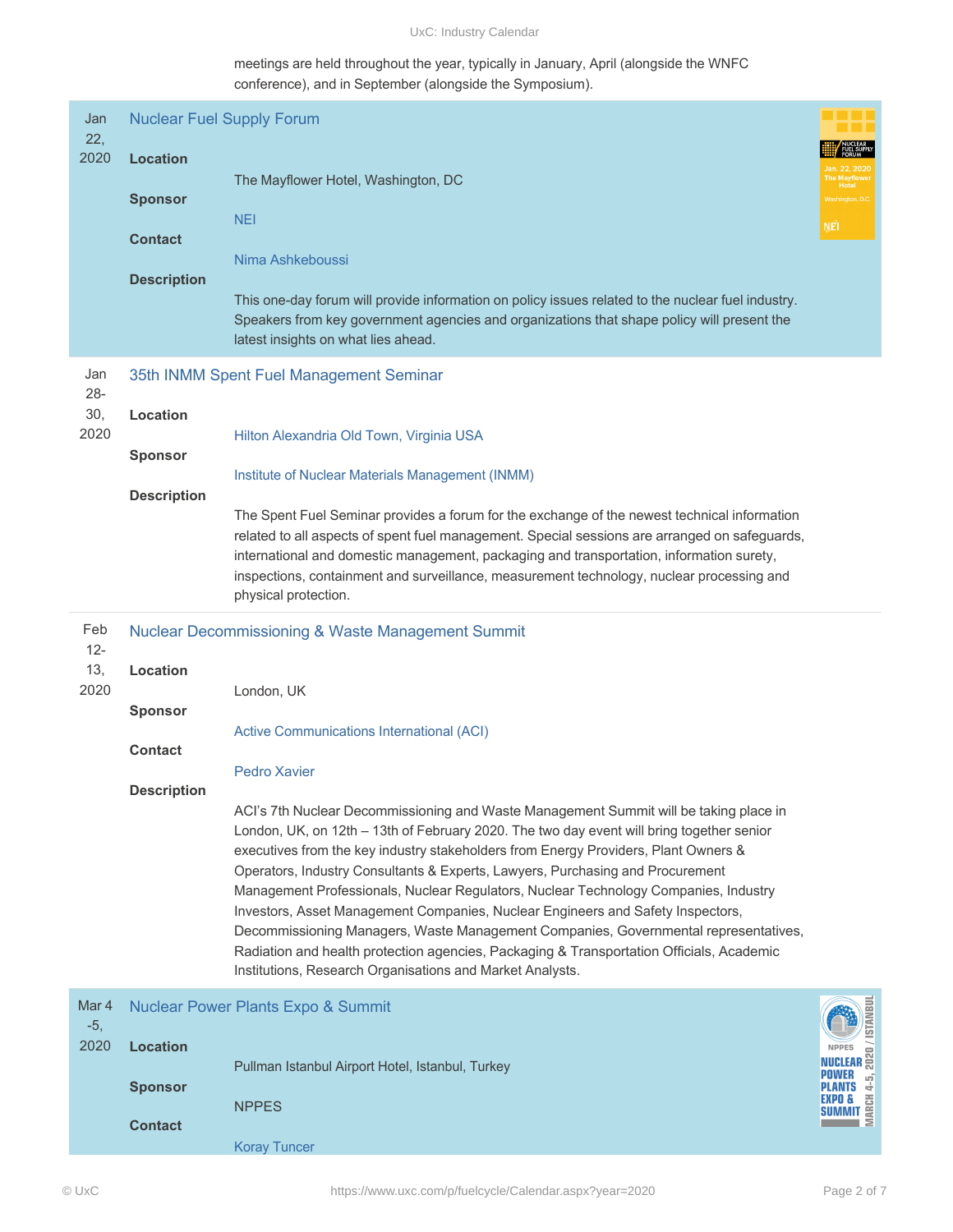UxC: Industry Calendar

meetings are held throughout the year, typically in January, April (alongside the WNFC conference), and in September (alongside the Symposium).

| Jan<br>22,<br>2020           | <b>Nuclear Fuel Supply Forum</b><br><b>Location</b><br><b>Sponsor</b><br><b>Contact</b><br><b>Description</b> | The Mayflower Hotel, Washington, DC<br><b>NEI</b><br>Nima Ashkeboussi<br>This one-day forum will provide information on policy issues related to the nuclear fuel industry.<br>Speakers from key government agencies and organizations that shape policy will present the<br>latest insights on what lies ahead.                                                                                                                                                                                                                                                                                                                                                                                                                                                                                                                                                                                                                                | NE <sup>1</sup>                                                                                                         |
|------------------------------|---------------------------------------------------------------------------------------------------------------|-------------------------------------------------------------------------------------------------------------------------------------------------------------------------------------------------------------------------------------------------------------------------------------------------------------------------------------------------------------------------------------------------------------------------------------------------------------------------------------------------------------------------------------------------------------------------------------------------------------------------------------------------------------------------------------------------------------------------------------------------------------------------------------------------------------------------------------------------------------------------------------------------------------------------------------------------|-------------------------------------------------------------------------------------------------------------------------|
| Jan<br>$28 -$<br>30,<br>2020 | Location<br><b>Sponsor</b><br><b>Description</b>                                                              | 35th INMM Spent Fuel Management Seminar<br>Hilton Alexandria Old Town, Virginia USA<br>Institute of Nuclear Materials Management (INMM)<br>The Spent Fuel Seminar provides a forum for the exchange of the newest technical information<br>related to all aspects of spent fuel management. Special sessions are arranged on safeguards,<br>international and domestic management, packaging and transportation, information surety,<br>inspections, containment and surveillance, measurement technology, nuclear processing and<br>physical protection.                                                                                                                                                                                                                                                                                                                                                                                       |                                                                                                                         |
| Feb<br>$12 -$<br>13,<br>2020 | Location<br><b>Sponsor</b><br><b>Contact</b><br><b>Description</b>                                            | <b>Nuclear Decommissioning &amp; Waste Management Summit</b><br>London, UK<br><b>Active Communications International (ACI)</b><br><b>Pedro Xavier</b><br>ACI's 7th Nuclear Decommissioning and Waste Management Summit will be taking place in<br>London, UK, on 12th - 13th of February 2020. The two day event will bring together senior<br>executives from the key industry stakeholders from Energy Providers, Plant Owners &<br>Operators, Industry Consultants & Experts, Lawyers, Purchasing and Procurement<br>Management Professionals, Nuclear Regulators, Nuclear Technology Companies, Industry<br>Investors, Asset Management Companies, Nuclear Engineers and Safety Inspectors,<br>Decommissioning Managers, Waste Management Companies, Governmental representatives,<br>Radiation and health protection agencies, Packaging & Transportation Officials, Academic<br>Institutions, Research Organisations and Market Analysts. |                                                                                                                         |
| Mar 4<br>$-5,$<br>2020       | <b>Location</b><br><b>Sponsor</b><br><b>Contact</b>                                                           | <b>Nuclear Power Plants Expo &amp; Summit</b><br>Pullman Istanbul Airport Hotel, Istanbul, Turkey<br><b>NPPES</b><br><b>Koray Tuncer</b>                                                                                                                                                                                                                                                                                                                                                                                                                                                                                                                                                                                                                                                                                                                                                                                                        | /ISTANBU<br><b>NPPES</b><br><b>NPPES</b><br><b>NUCLEAR</b><br>POWER<br>$\frac{5}{4}$<br>LANTS<br>8 PO<br>UMMIT 똪<br>ι Ξ |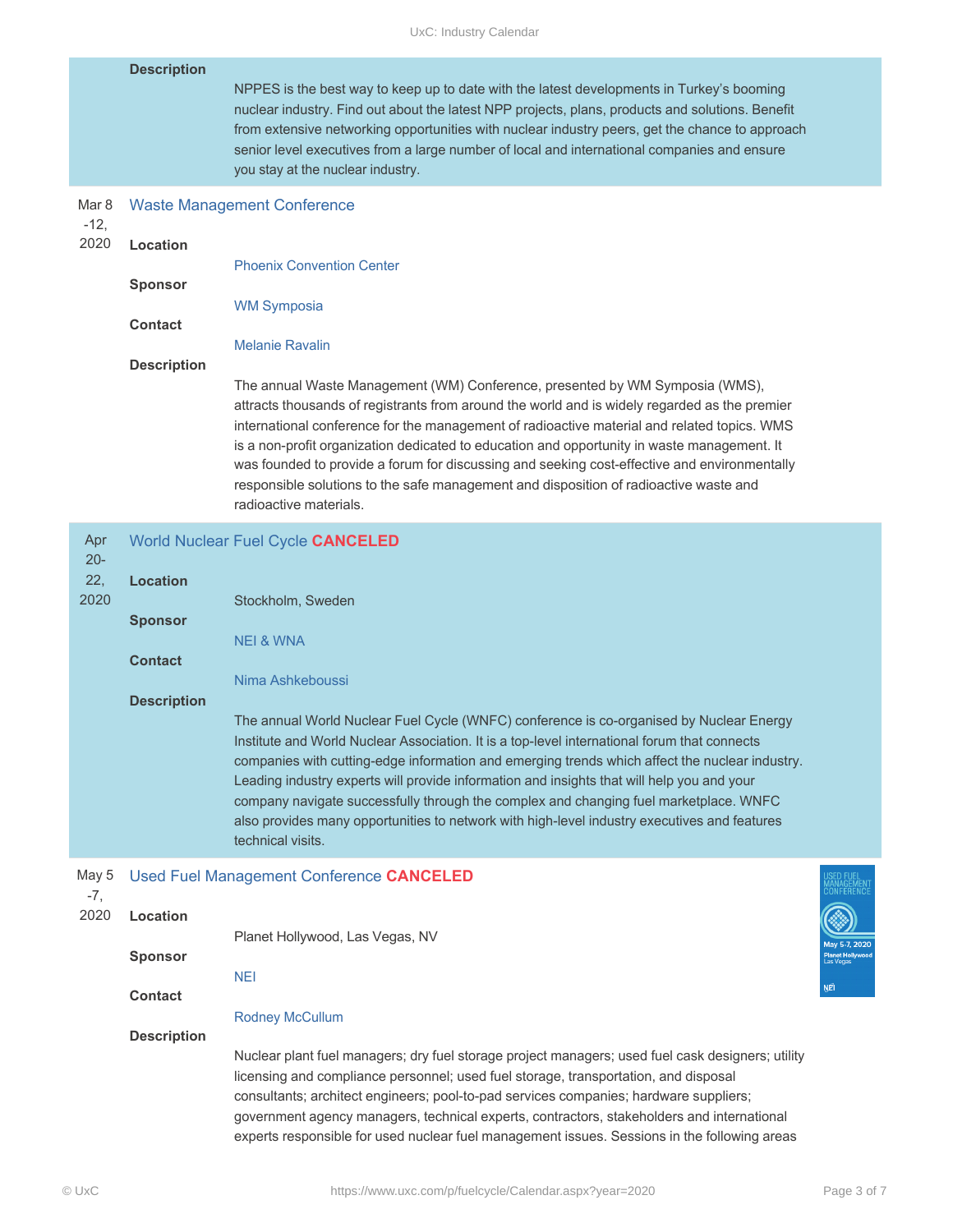UxC: Industry Calendar

|                              | <b>Description</b>                                                        | NPPES is the best way to keep up to date with the latest developments in Turkey's booming<br>nuclear industry. Find out about the latest NPP projects, plans, products and solutions. Benefit<br>from extensive networking opportunities with nuclear industry peers, get the chance to approach<br>senior level executives from a large number of local and international companies and ensure<br>you stay at the nuclear industry.                                                                                                                                                                                     |     |
|------------------------------|---------------------------------------------------------------------------|--------------------------------------------------------------------------------------------------------------------------------------------------------------------------------------------------------------------------------------------------------------------------------------------------------------------------------------------------------------------------------------------------------------------------------------------------------------------------------------------------------------------------------------------------------------------------------------------------------------------------|-----|
| Mar 8<br>$-12,$<br>2020      | Location<br><b>Sponsor</b><br><b>Contact</b>                              | <b>Waste Management Conference</b><br><b>Phoenix Convention Center</b><br><b>WM Symposia</b>                                                                                                                                                                                                                                                                                                                                                                                                                                                                                                                             |     |
|                              | <b>Description</b>                                                        | <b>Melanie Ravalin</b><br>The annual Waste Management (WM) Conference, presented by WM Symposia (WMS),<br>attracts thousands of registrants from around the world and is widely regarded as the premier<br>international conference for the management of radioactive material and related topics. WMS<br>is a non-profit organization dedicated to education and opportunity in waste management. It<br>was founded to provide a forum for discussing and seeking cost-effective and environmentally<br>responsible solutions to the safe management and disposition of radioactive waste and<br>radioactive materials. |     |
| Apr<br>$20 -$<br>22,<br>2020 | <b>Location</b><br><b>Sponsor</b><br><b>Contact</b><br><b>Description</b> | World Nuclear Fuel Cycle CANCELED<br>Stockholm, Sweden<br><b>NEI &amp; WNA</b><br>Nima Ashkeboussi<br>The annual World Nuclear Fuel Cycle (WNFC) conference is co-organised by Nuclear Energy<br>Institute and World Nuclear Association. It is a top-level international forum that connects<br>companies with cutting-edge information and emerging trends which affect the nuclear industry.<br>Leading industry experts will provide information and insights that will help you and your<br>company navigate successfully through the complex and changing fuel marketplace. WNFC                                   |     |
|                              |                                                                           | also provides many opportunities to network with high-level industry executives and features<br>technical visits.                                                                                                                                                                                                                                                                                                                                                                                                                                                                                                        |     |
| May 5<br>-7,<br>2020         | Location                                                                  | Used Fuel Management Conference CANCELED<br>Planet Hollywood, Las Vegas, NV                                                                                                                                                                                                                                                                                                                                                                                                                                                                                                                                              |     |
|                              | <b>Sponsor</b><br><b>Contact</b>                                          | <b>NEI</b>                                                                                                                                                                                                                                                                                                                                                                                                                                                                                                                                                                                                               | ŅÊI |
|                              | <b>Description</b>                                                        | <b>Rodney McCullum</b><br>Nuclear plant fuel managers; dry fuel storage project managers; used fuel cask designers; utility<br>licensing and compliance personnel; used fuel storage, transportation, and disposal<br>consultants; architect engineers; pool-to-pad services companies; hardware suppliers;<br>government agency managers, technical experts, contractors, stakeholders and international<br>experts responsible for used nuclear fuel management issues. Sessions in the following areas                                                                                                                |     |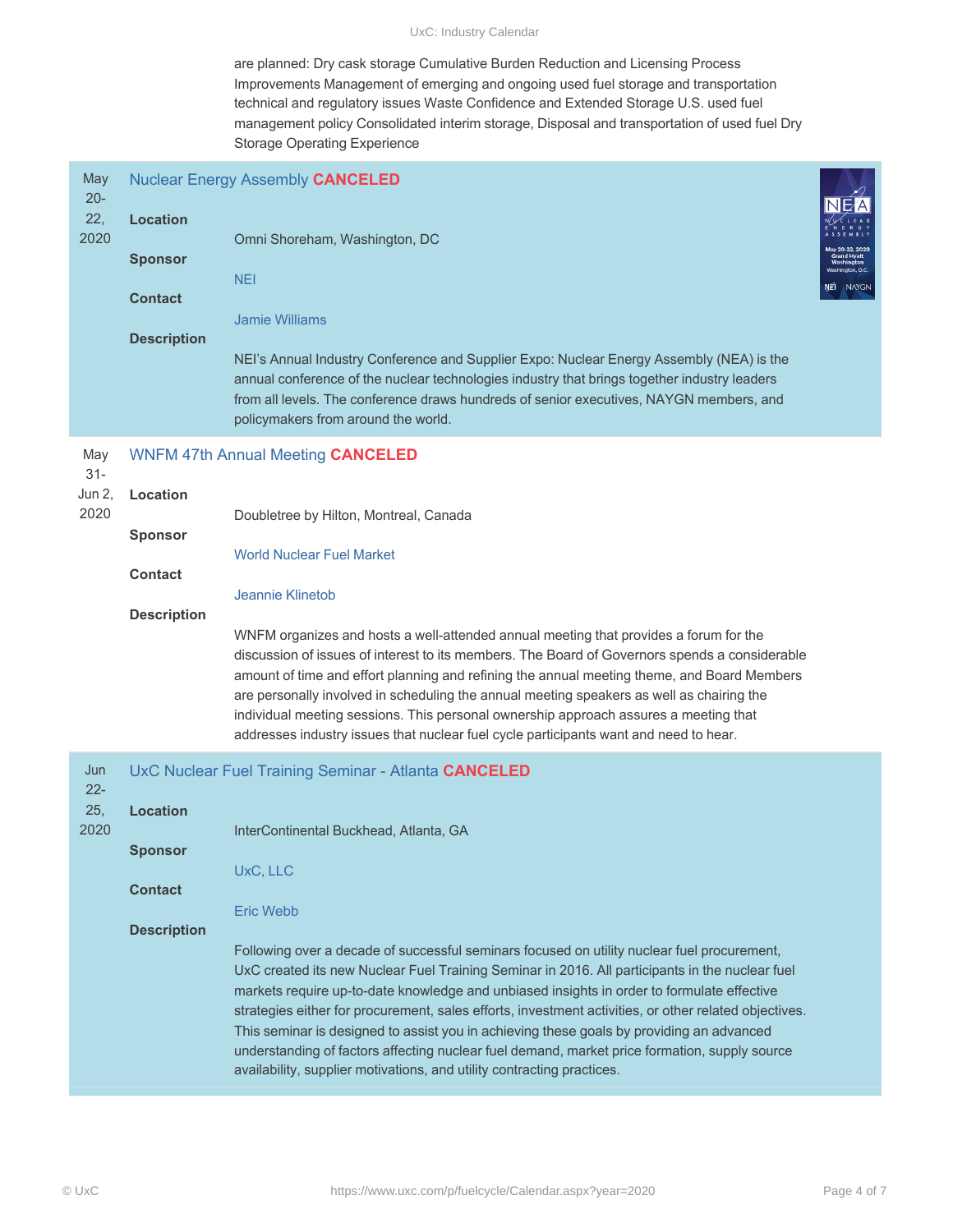#### UxC: Industry Calendar

are planned: Dry cask storage Cumulative Burden Reduction and Licensing Process Improvements Management of emerging and ongoing used fuel storage and transportation technical and regulatory issues Waste Confidence and Extended Storage U.S. used fuel management policy Consolidated interim storage, Disposal and transportation of used fuel Dry Storage Operating Experience

| May<br>$20 -$<br>22,<br>2020    | <b>Location</b><br><b>Sponsor</b><br><b>Contact</b><br><b>Description</b> | <b>Nuclear Energy Assembly CANCELED</b><br>Omni Shoreham, Washington, DC<br><b>NEI</b><br><b>Jamie Williams</b><br>NEI's Annual Industry Conference and Supplier Expo: Nuclear Energy Assembly (NEA) is the<br>annual conference of the nuclear technologies industry that brings together industry leaders<br>from all levels. The conference draws hundreds of senior executives, NAYGN members, and<br>policymakers from around the world.                                                                                                                                                                                                                                                                                                                                                                  | NAYGN |
|---------------------------------|---------------------------------------------------------------------------|----------------------------------------------------------------------------------------------------------------------------------------------------------------------------------------------------------------------------------------------------------------------------------------------------------------------------------------------------------------------------------------------------------------------------------------------------------------------------------------------------------------------------------------------------------------------------------------------------------------------------------------------------------------------------------------------------------------------------------------------------------------------------------------------------------------|-------|
| May<br>$31 -$<br>Jun 2,<br>2020 | Location<br><b>Sponsor</b><br><b>Contact</b><br><b>Description</b>        | <b>WNFM 47th Annual Meeting CANCELED</b><br>Doubletree by Hilton, Montreal, Canada<br><b>World Nuclear Fuel Market</b><br>Jeannie Klinetob<br>WNFM organizes and hosts a well-attended annual meeting that provides a forum for the<br>discussion of issues of interest to its members. The Board of Governors spends a considerable<br>amount of time and effort planning and refining the annual meeting theme, and Board Members<br>are personally involved in scheduling the annual meeting speakers as well as chairing the<br>individual meeting sessions. This personal ownership approach assures a meeting that<br>addresses industry issues that nuclear fuel cycle participants want and need to hear.                                                                                              |       |
| Jun<br>$22 -$<br>25,<br>2020    | <b>Location</b><br><b>Sponsor</b><br><b>Contact</b><br><b>Description</b> | UxC Nuclear Fuel Training Seminar - Atlanta CANCELED<br>InterContinental Buckhead, Atlanta, GA<br>UxC, LLC<br><b>Eric Webb</b><br>Following over a decade of successful seminars focused on utility nuclear fuel procurement,<br>UxC created its new Nuclear Fuel Training Seminar in 2016. All participants in the nuclear fuel<br>markets require up-to-date knowledge and unbiased insights in order to formulate effective<br>strategies either for procurement, sales efforts, investment activities, or other related objectives.<br>This seminar is designed to assist you in achieving these goals by providing an advanced<br>understanding of factors affecting nuclear fuel demand, market price formation, supply source<br>availability, supplier motivations, and utility contracting practices. |       |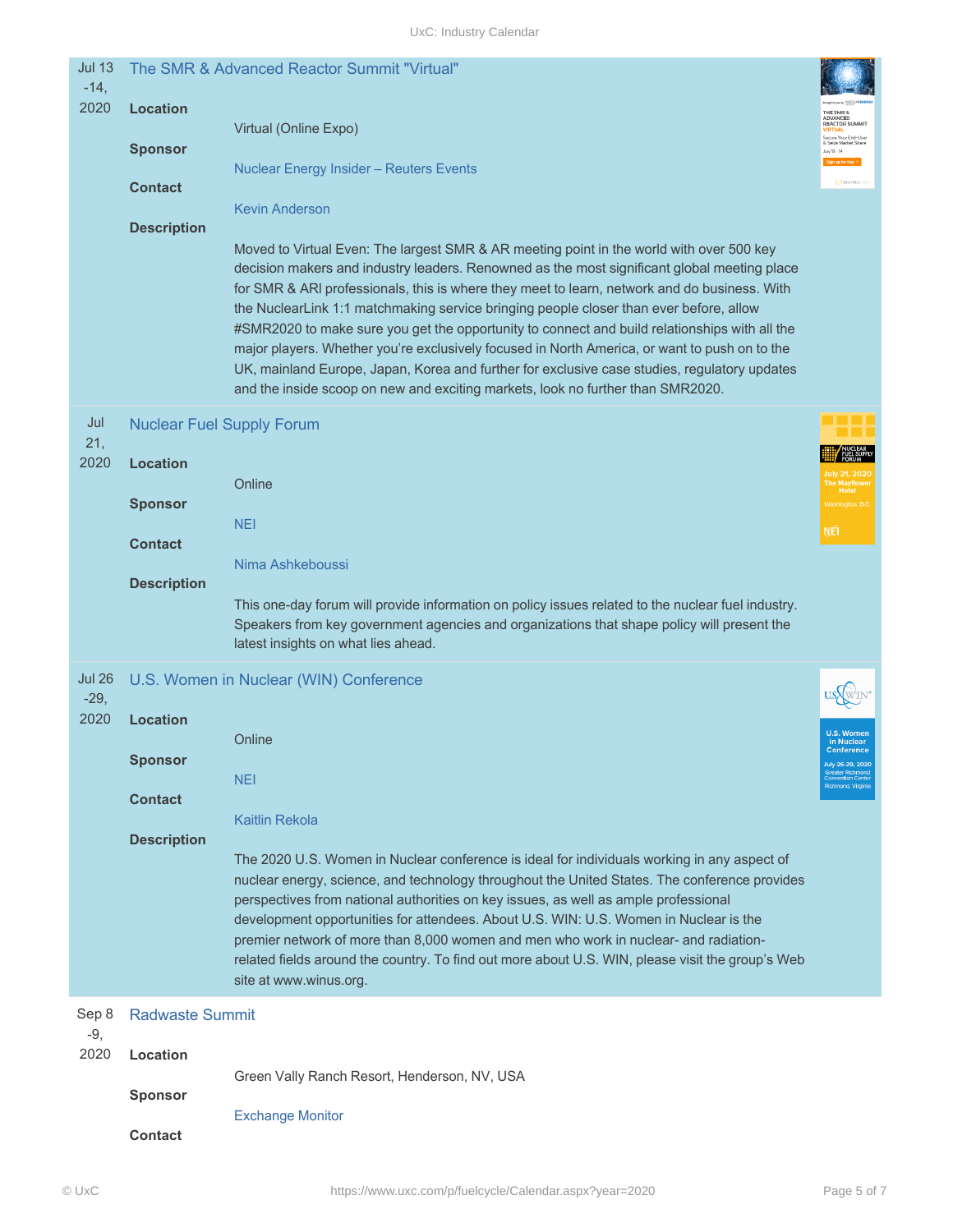| <b>Jul 13</b><br>$-14,$ |                        | The SMR & Advanced Reactor Summit "Virtual"                                                                                                                                                                                                                                                                                                                                                                                                                                                                                                                                                                                                                                                                                                                            |                                                                                             |
|-------------------------|------------------------|------------------------------------------------------------------------------------------------------------------------------------------------------------------------------------------------------------------------------------------------------------------------------------------------------------------------------------------------------------------------------------------------------------------------------------------------------------------------------------------------------------------------------------------------------------------------------------------------------------------------------------------------------------------------------------------------------------------------------------------------------------------------|---------------------------------------------------------------------------------------------|
| 2020                    | <b>Location</b>        | Virtual (Online Expo)                                                                                                                                                                                                                                                                                                                                                                                                                                                                                                                                                                                                                                                                                                                                                  | THE SMR 8<br>ADVANCED<br>REACTOR SUMMIT<br>Secure Your End-Use                              |
|                         | <b>Sponsor</b>         | <b>Nuclear Energy Insider - Reuters Events</b>                                                                                                                                                                                                                                                                                                                                                                                                                                                                                                                                                                                                                                                                                                                         | & Seize Market Sha<br>luly 13 - 14                                                          |
|                         | <b>Contact</b>         | <b>Kevin Anderson</b>                                                                                                                                                                                                                                                                                                                                                                                                                                                                                                                                                                                                                                                                                                                                                  | <b>A REUTERS</b>                                                                            |
|                         | <b>Description</b>     |                                                                                                                                                                                                                                                                                                                                                                                                                                                                                                                                                                                                                                                                                                                                                                        |                                                                                             |
|                         |                        | Moved to Virtual Even: The largest SMR & AR meeting point in the world with over 500 key<br>decision makers and industry leaders. Renowned as the most significant global meeting place<br>for SMR & ARI professionals, this is where they meet to learn, network and do business. With<br>the NuclearLink 1:1 matchmaking service bringing people closer than ever before, allow<br>#SMR2020 to make sure you get the opportunity to connect and build relationships with all the<br>major players. Whether you're exclusively focused in North America, or want to push on to the<br>UK, mainland Europe, Japan, Korea and further for exclusive case studies, regulatory updates<br>and the inside scoop on new and exciting markets, look no further than SMR2020. |                                                                                             |
| Jul<br>21,              |                        | <b>Nuclear Fuel Supply Forum</b>                                                                                                                                                                                                                                                                                                                                                                                                                                                                                                                                                                                                                                                                                                                                       |                                                                                             |
| 2020                    | <b>Location</b>        | Online                                                                                                                                                                                                                                                                                                                                                                                                                                                                                                                                                                                                                                                                                                                                                                 |                                                                                             |
|                         | <b>Sponsor</b>         | <b>NEI</b>                                                                                                                                                                                                                                                                                                                                                                                                                                                                                                                                                                                                                                                                                                                                                             |                                                                                             |
|                         | <b>Contact</b>         |                                                                                                                                                                                                                                                                                                                                                                                                                                                                                                                                                                                                                                                                                                                                                                        | Ņêi                                                                                         |
|                         | <b>Description</b>     | Nima Ashkeboussi                                                                                                                                                                                                                                                                                                                                                                                                                                                                                                                                                                                                                                                                                                                                                       |                                                                                             |
|                         |                        | This one-day forum will provide information on policy issues related to the nuclear fuel industry.<br>Speakers from key government agencies and organizations that shape policy will present the<br>latest insights on what lies ahead.                                                                                                                                                                                                                                                                                                                                                                                                                                                                                                                                |                                                                                             |
| <b>Jul 26</b><br>$-29,$ |                        | U.S. Women in Nuclear (WIN) Conference                                                                                                                                                                                                                                                                                                                                                                                                                                                                                                                                                                                                                                                                                                                                 |                                                                                             |
| 2020                    | <b>Location</b>        |                                                                                                                                                                                                                                                                                                                                                                                                                                                                                                                                                                                                                                                                                                                                                                        |                                                                                             |
|                         | <b>Sponsor</b>         | Online                                                                                                                                                                                                                                                                                                                                                                                                                                                                                                                                                                                                                                                                                                                                                                 | in Nuclear<br><b>Conference</b><br>July 26-29, 2020<br>Greater Richmond<br>Convention Cente |
|                         | <b>Contact</b>         | <b>NEI</b>                                                                                                                                                                                                                                                                                                                                                                                                                                                                                                                                                                                                                                                                                                                                                             | lichmond, Virginia                                                                          |
|                         | <b>Description</b>     | <b>Kaitlin Rekola</b>                                                                                                                                                                                                                                                                                                                                                                                                                                                                                                                                                                                                                                                                                                                                                  |                                                                                             |
|                         |                        | The 2020 U.S. Women in Nuclear conference is ideal for individuals working in any aspect of<br>nuclear energy, science, and technology throughout the United States. The conference provides<br>perspectives from national authorities on key issues, as well as ample professional<br>development opportunities for attendees. About U.S. WIN: U.S. Women in Nuclear is the<br>premier network of more than 8,000 women and men who work in nuclear- and radiation-<br>related fields around the country. To find out more about U.S. WIN, please visit the group's Web<br>site at www.winus.org.                                                                                                                                                                     |                                                                                             |
| Sep 8<br>$-9,$          | <b>Radwaste Summit</b> |                                                                                                                                                                                                                                                                                                                                                                                                                                                                                                                                                                                                                                                                                                                                                                        |                                                                                             |
| 2020                    | Location               |                                                                                                                                                                                                                                                                                                                                                                                                                                                                                                                                                                                                                                                                                                                                                                        |                                                                                             |
|                         | <b>Sponsor</b>         | Green Vally Ranch Resort, Henderson, NV, USA                                                                                                                                                                                                                                                                                                                                                                                                                                                                                                                                                                                                                                                                                                                           |                                                                                             |
|                         | <b>Contact</b>         | <b>Exchange Monitor</b>                                                                                                                                                                                                                                                                                                                                                                                                                                                                                                                                                                                                                                                                                                                                                |                                                                                             |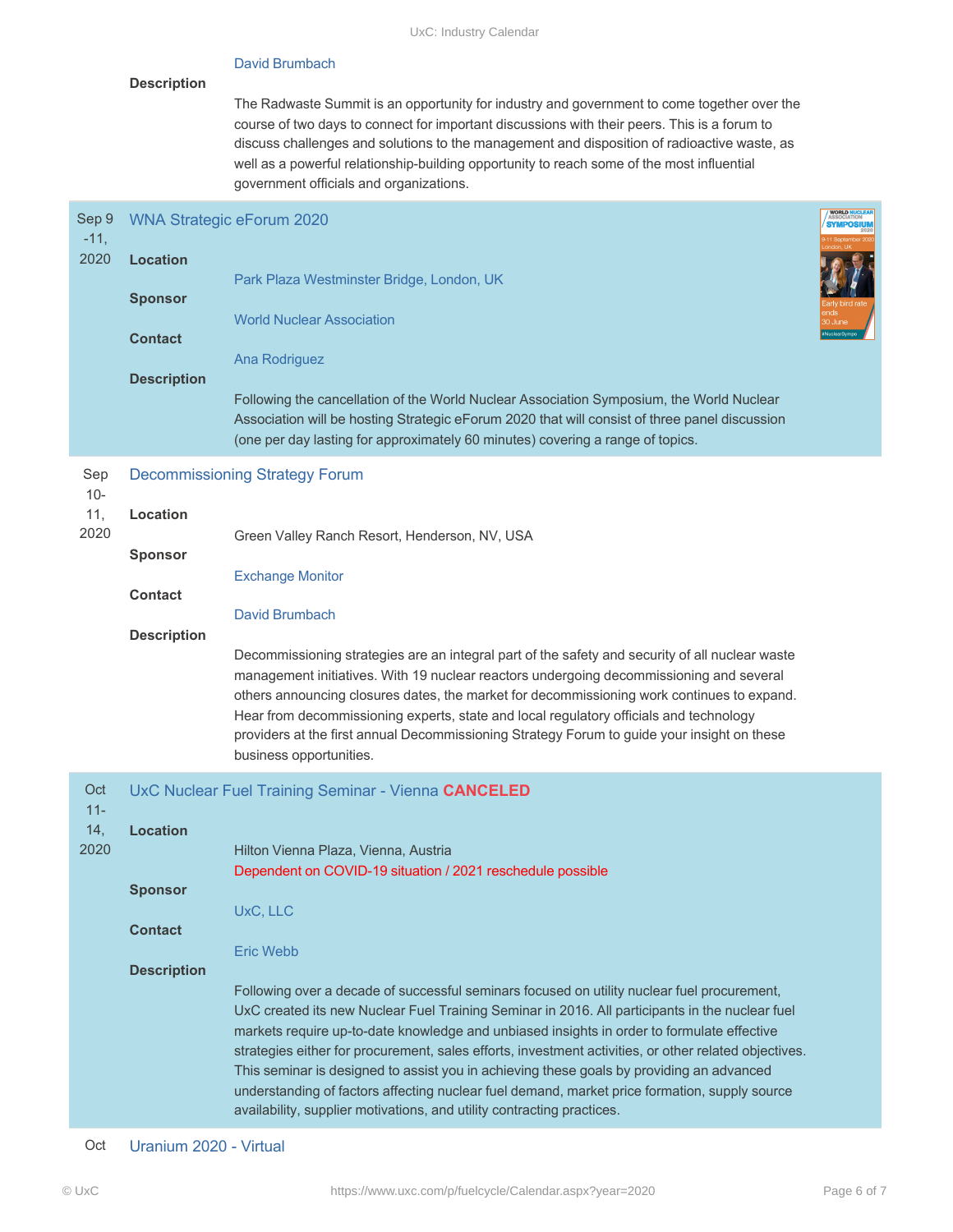# David Brumbach

### **Description**

The Radwaste Summit is an opportunity for industry and government to come together over the course of two days to connect for important discussions with their peers. This is a forum to discuss challenges and solutions to the management and disposition of radioactive waste, as well as a powerful relationship-building opportunity to reach some of the most influential government officials and organizations.

| Sep 9<br>$-11,$<br>2020      | <b>Location</b><br><b>Sponsor</b><br><b>Contact</b><br><b>Description</b> | <b>WNA Strategic eForum 2020</b><br>Park Plaza Westminster Bridge, London, UK<br><b>World Nuclear Association</b><br>Ana Rodriguez<br>Following the cancellation of the World Nuclear Association Symposium, the World Nuclear<br>Association will be hosting Strategic eForum 2020 that will consist of three panel discussion<br>(one per day lasting for approximately 60 minutes) covering a range of topics.                                                                                                                                                                                                                                                                                                                                                                                                                                                         | WORLD NUCLE |
|------------------------------|---------------------------------------------------------------------------|---------------------------------------------------------------------------------------------------------------------------------------------------------------------------------------------------------------------------------------------------------------------------------------------------------------------------------------------------------------------------------------------------------------------------------------------------------------------------------------------------------------------------------------------------------------------------------------------------------------------------------------------------------------------------------------------------------------------------------------------------------------------------------------------------------------------------------------------------------------------------|-------------|
| Sep<br>$10 -$<br>11,<br>2020 | Location                                                                  | <b>Decommissioning Strategy Forum</b><br>Green Valley Ranch Resort, Henderson, NV, USA                                                                                                                                                                                                                                                                                                                                                                                                                                                                                                                                                                                                                                                                                                                                                                                    |             |
|                              | <b>Sponsor</b><br><b>Contact</b><br><b>Description</b>                    | <b>Exchange Monitor</b><br>David Brumbach<br>Decommissioning strategies are an integral part of the safety and security of all nuclear waste<br>management initiatives. With 19 nuclear reactors undergoing decommissioning and several<br>others announcing closures dates, the market for decommissioning work continues to expand.<br>Hear from decommissioning experts, state and local regulatory officials and technology<br>providers at the first annual Decommissioning Strategy Forum to guide your insight on these<br>business opportunities.                                                                                                                                                                                                                                                                                                                 |             |
| Oct<br>$11 -$<br>14,<br>2020 | <b>Location</b><br><b>Sponsor</b><br><b>Contact</b><br><b>Description</b> | UxC Nuclear Fuel Training Seminar - Vienna CANCELED<br>Hilton Vienna Plaza, Vienna, Austria<br>Dependent on COVID-19 situation / 2021 reschedule possible<br>UxC, LLC<br><b>Eric Webb</b><br>Following over a decade of successful seminars focused on utility nuclear fuel procurement,<br>UxC created its new Nuclear Fuel Training Seminar in 2016. All participants in the nuclear fuel<br>markets require up-to-date knowledge and unbiased insights in order to formulate effective<br>strategies either for procurement, sales efforts, investment activities, or other related objectives.<br>This seminar is designed to assist you in achieving these goals by providing an advanced<br>understanding of factors affecting nuclear fuel demand, market price formation, supply source<br>availability, supplier motivations, and utility contracting practices. |             |

Oct Uranium 2020 - Virtual